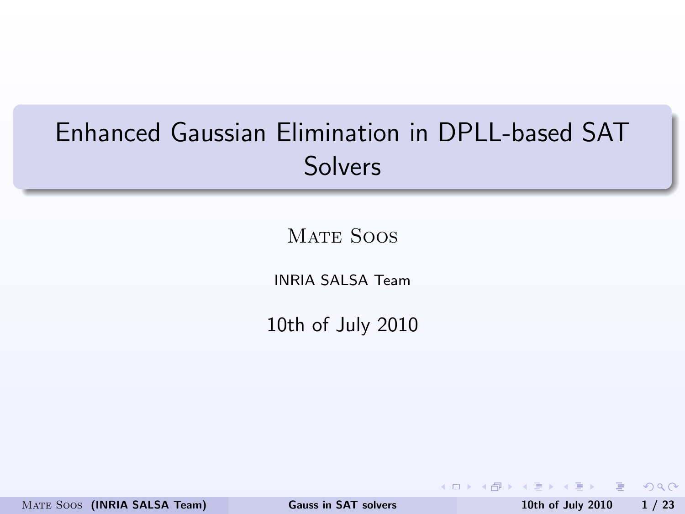## Enhanced Gaussian Elimination in DPLL-based SAT **Solvers**

MATE SOOS

INRIA SALSA Team

10th of July 2010

MATE SOOS (INRIA SALSA Team) [Gauss in SAT solvers](#page-25-0) 10th of July 2010 1/23

<span id="page-0-0"></span>

KED KAP KED KED E VOQO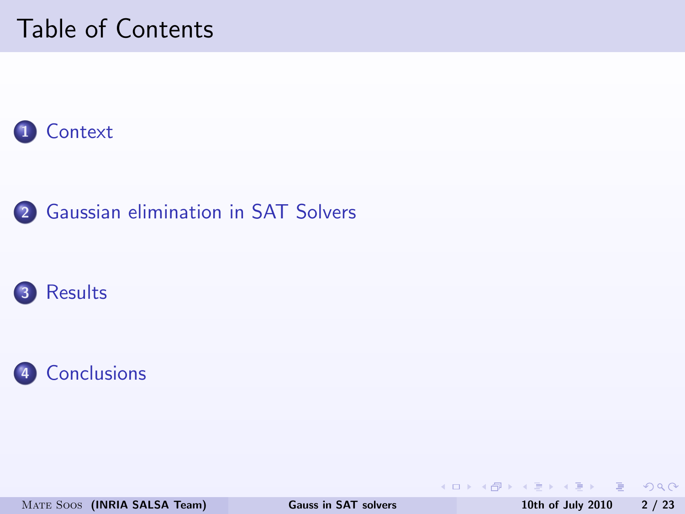### Table of Contents









MATE SOOS (INRIA SALSA Team) [Gauss in SAT solvers](#page-0-0) 10th of July 2010 2 / 23

 $OQ$ 

イロト イ押 トイヨ トイヨ トーヨー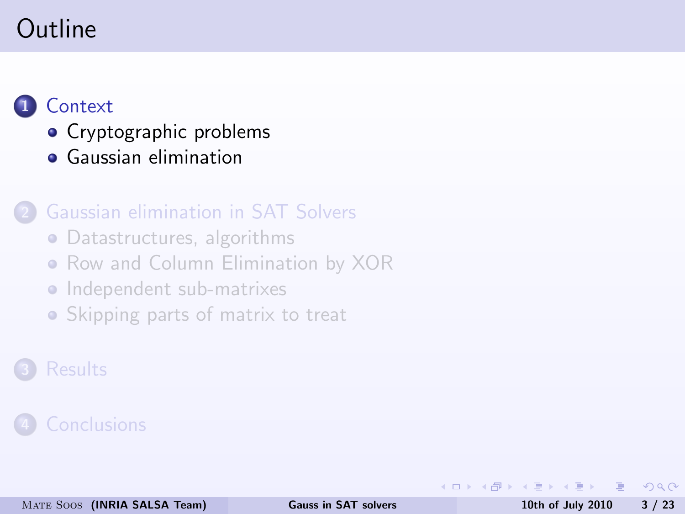### Outline

### **[Context](#page-2-0)**

- [Cryptographic problems](#page-4-0)
- [Gaussian elimination](#page-5-0)

### [Gaussian elimination in SAT Solvers](#page-7-0)

- [Datastructures, algorithms](#page-8-0)
- [Row and Column Elimination by XOR](#page-12-0)
- **[Independent sub-matrixes](#page-13-0)**
- [Skipping parts of matrix to treat](#page-15-0)

### **[Results](#page-18-0)**

 $\leftarrow$ 

目

<span id="page-2-0"></span> $200$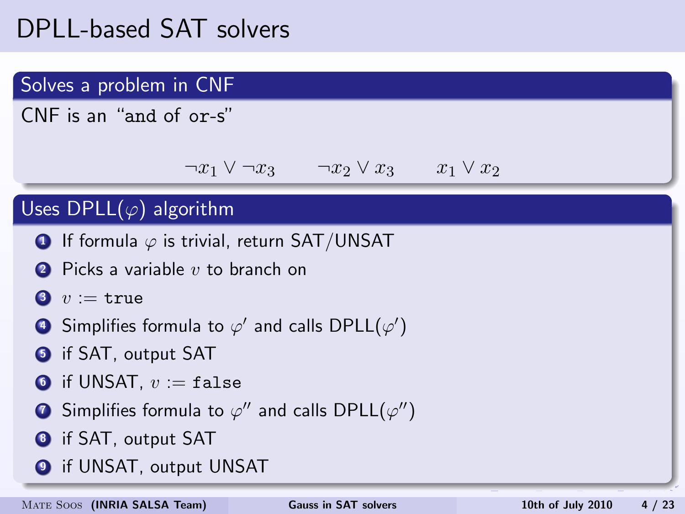### DPLL-based SAT solvers

### Solves a problem in CNF

CNF is an "and of or-s"

$$
\neg x_1 \lor \neg x_3 \qquad \neg x_2 \lor x_3 \qquad x_1 \lor x_2
$$

#### Uses DPLL $(\varphi)$  algorithm

- **1** If formula  $\varphi$  is trivial, return SAT/UNSAT
- $\bullet$  Picks a variable v to branch on

$$
\mathord{\text{\textbf{0}}} \ \ v := \mathtt{true}
$$

- $\bullet$  Simplifies formula to  $\varphi'$  and calls DPLL( $\varphi'$ )
- **6** if SAT, output SAT
- **6** if UNSAT,  $v := \mathtt{false}$
- $\bullet$  Simplifies formula to  $\varphi''$  and calls DPLL( $\varphi''$ )
- **8** if SAT, output SAT
- **9** if UNSAT, output UNSAT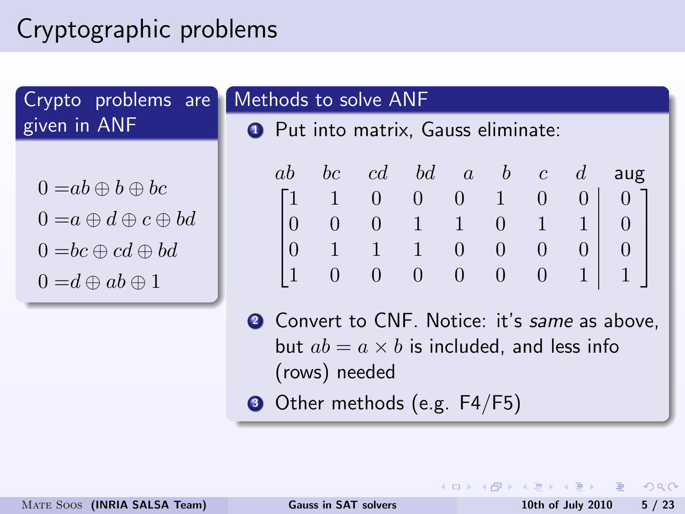## Cryptographic problems

Crypto problems are given in ANF

 $0 = ab \oplus b \oplus bc$ 

- $0 = a \oplus d \oplus c \oplus bd$
- $0 = bc \oplus cd \oplus bd$
- $0 = d \oplus ab \oplus 1$

### Methods to solve ANF

**Q** Put into matrix, Gauss eliminate:

|                 |                                             |                                                       |                             |                |                 |                 |             | ab bc $cd$ bd $a$ b $c$ d aug                     |
|-----------------|---------------------------------------------|-------------------------------------------------------|-----------------------------|----------------|-----------------|-----------------|-------------|---------------------------------------------------|
|                 |                                             | $\begin{bmatrix} 1 & 1 & 0 & 0 & 0 & 1 \end{bmatrix}$ |                             |                |                 | $\vert 0 \vert$ |             | $\begin{array}{ c c c } \hline 0 & 0 \end{array}$ |
| $\vert 0 \vert$ | $\begin{array}{ c c } \hline 0 \end{array}$ |                                                       | $0 \quad 1 \quad 1 \quad 0$ |                |                 |                 | $1 \quad 1$ | $\begin{array}{c} 0 \end{array}$                  |
|                 | $\begin{pmatrix} 0 & 1 \end{pmatrix}$       |                                                       | $1 \quad 1 \quad 0 \quad 0$ |                |                 | $\overline{0}$  |             | $\begin{bmatrix} 0 & 0 \end{bmatrix}$             |
| $\vert$ 1       | $\overline{0}$                              | $\cup$                                                | $\overline{0}$              | $\overline{0}$ | $\vert 0 \vert$ | $\theta$        | $1 \mid$    | $\mathbf{1}$                                      |

- 2 Convert to CNF. Notice: it's same as above. but  $ab = a \times b$  is included, and less info (rows) needed
- **3** Other methods (e.g. F4/F5)

- 3

<span id="page-4-0"></span> $\Omega$ 

∢ ロ ▶ ( 伊 ) ( ミ ) ( ミ )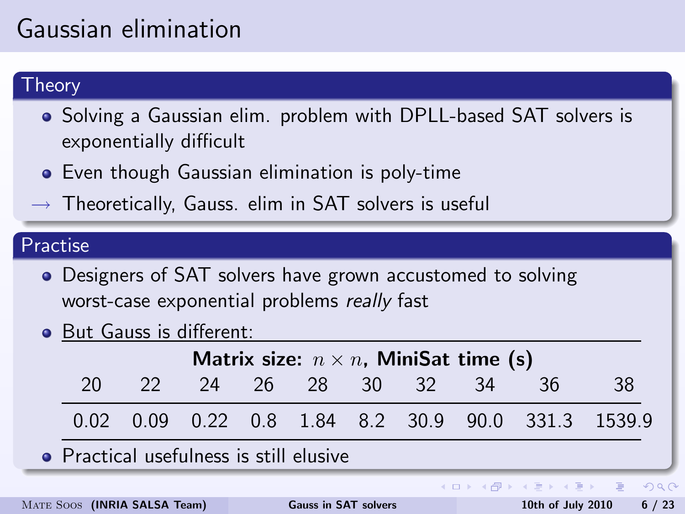## Gaussian elimination

#### Theory

- Solving a Gaussian elim. problem with DPLL-based SAT solvers is exponentially difficult
- Even though Gaussian elimination is poly-time
- $\rightarrow$  Theoretically, Gauss. elim in SAT solvers is useful

#### Practise

- Designers of SAT solvers have grown accustomed to solving worst-case exponential problems really fast
- But Gauss is different:

<span id="page-5-0"></span>

| Matrix size: $n \times n$ , MiniSat time (s) |  |                      |  |  |  |  |  |                                                    |                                       |  |  |
|----------------------------------------------|--|----------------------|--|--|--|--|--|----------------------------------------------------|---------------------------------------|--|--|
| 20                                           |  | 22 24 26 28 30 32 34 |  |  |  |  |  | -36                                                | 38                                    |  |  |
|                                              |  |                      |  |  |  |  |  | 0.02 0.09 0.22 0.8 1.84 8.2 30.9 90.0 331.3 1539.9 |                                       |  |  |
| • Practical usefulness is still elusive      |  |                      |  |  |  |  |  |                                                    |                                       |  |  |
|                                              |  |                      |  |  |  |  |  |                                                    | K □ ▶ K @ ▶ K 로 ▶ K 로 ▶ _ 로 _ K 9 Q ( |  |  |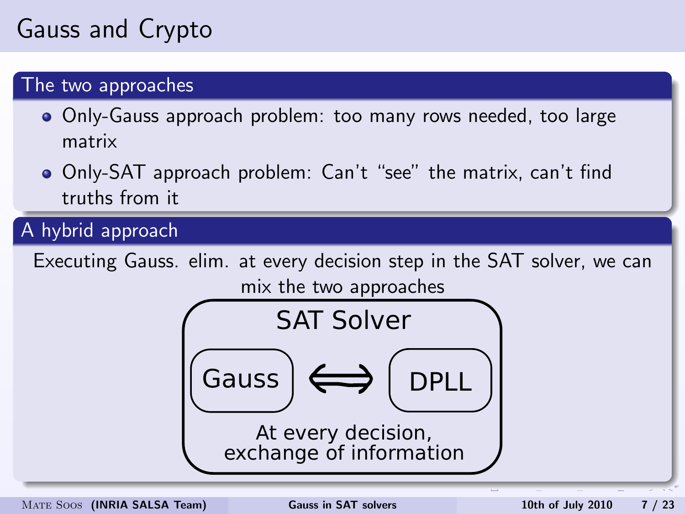## Gauss and Crypto

#### The two approaches

- Only-Gauss approach problem: too many rows needed, too large matrix
- Only-SAT approach problem: Can't "see" the matrix, can't find truths from it

A hybrid approach

Executing Gauss. elim. at every decision step in the SAT solver, we can mix the two approaches

<span id="page-6-0"></span>

MATE SOOS (INRIA SALSA Team) [Gauss in SAT solvers](#page-0-0) 10th of July 2010 7 / 23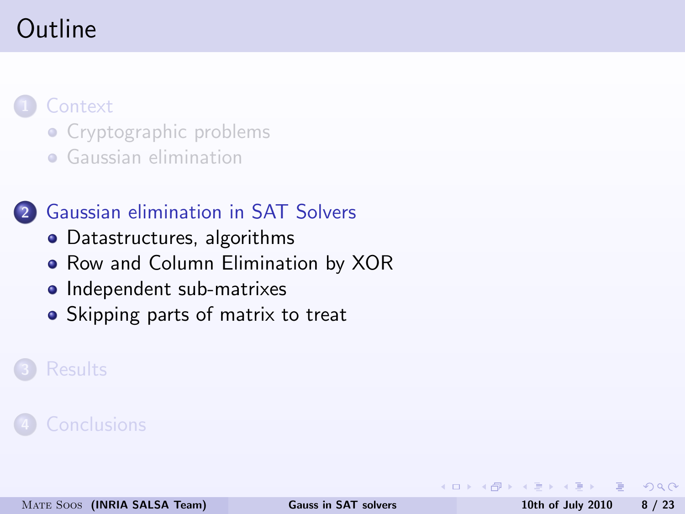### Outline

### **[Context](#page-2-0)**

- [Cryptographic problems](#page-4-0)
- **•** [Gaussian elimination](#page-5-0)

### 2 [Gaussian elimination in SAT Solvers](#page-7-0)

- [Datastructures, algorithms](#page-8-0)
- [Row and Column Elimination by XOR](#page-12-0)
- [Independent sub-matrixes](#page-13-0)
- [Skipping parts of matrix to treat](#page-15-0)

#### **[Results](#page-18-0)**

目

<span id="page-7-0"></span> $200$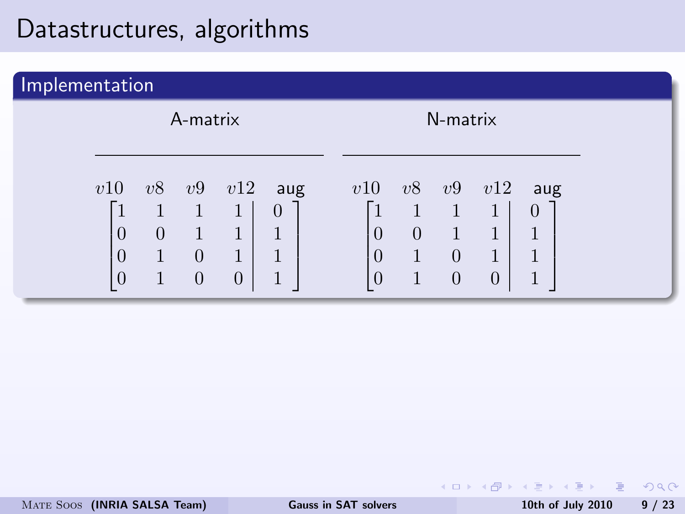| Implementation |                             |                |                                      |                                |                           |                                              |                          |                                                                        |                                      |                 |  |
|----------------|-----------------------------|----------------|--------------------------------------|--------------------------------|---------------------------|----------------------------------------------|--------------------------|------------------------------------------------------------------------|--------------------------------------|-----------------|--|
|                |                             | A-matrix       |                                      |                                | N-matrix                  |                                              |                          |                                                                        |                                      |                 |  |
|                | v10<br>$\theta$<br>$\theta$ | v8<br>$\theta$ | v9<br>1<br>1<br>$\theta$<br>$\theta$ | v12<br>1<br>1<br>1<br>$\theta$ | aug<br>$\theta$<br>1<br>1 | v10<br>1<br>$\theta$<br>$\theta$<br>$\theta$ | v8<br>1<br>$\theta$<br>1 | v9<br>$\mathbf{1}$<br>$\mathbf{1}$<br>$\overline{0}$<br>$\overline{0}$ | v12<br>1<br>1<br>1<br>$\overline{0}$ | aug<br>$\theta$ |  |

- 로

<span id="page-8-0"></span> $200$ 

 $($  ロ )  $($   $\oplus$   $)$   $($   $\oplus$   $)$   $($   $\oplus$   $)$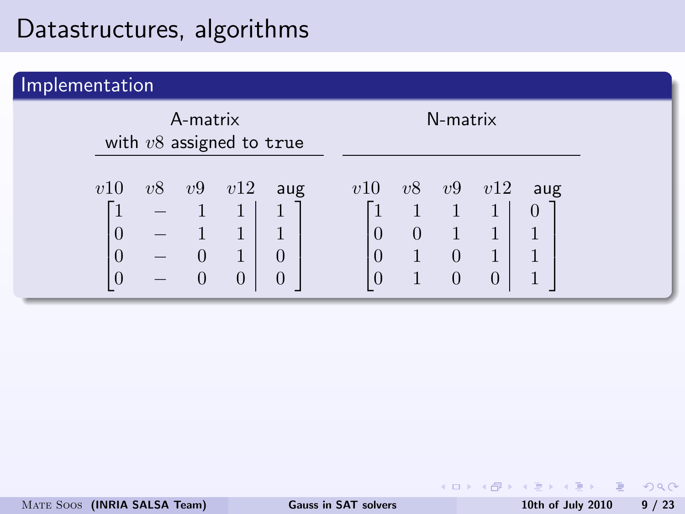| Implementation |     |    |                            |                                                       |                                       |                                  |                |                                                    |                                 |               |  |  |
|----------------|-----|----|----------------------------|-------------------------------------------------------|---------------------------------------|----------------------------------|----------------|----------------------------------------------------|---------------------------------|---------------|--|--|
|                |     |    | A-matrix                   | with $v8$ assigned to true                            |                                       |                                  | N-matrix       |                                                    |                                 |               |  |  |
|                | v10 | v8 | v9<br>$\theta$<br>$\theta$ | v12<br>$\mathbf{1}$<br>$\mathbf{1}$<br>$\overline{0}$ | aug<br>1<br>1<br>$\theta$<br>$\theta$ | v10<br>1<br>$\theta$<br>$\theta$ | v8<br>$\theta$ | v9<br>$\overline{1}$<br>$\overline{0}$<br>$\theta$ | v12<br>1<br>1<br>$\overline{0}$ | aug<br>$\cup$ |  |  |

- 로

 $OQ$ 

 $($  ロ )  $($   $\oplus$   $)$   $($   $\oplus$   $)$   $($   $\oplus$   $)$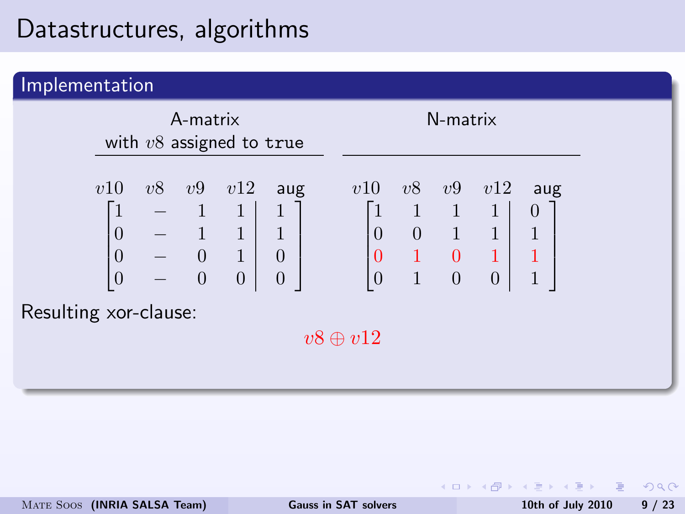| Implementation        |                                                             |                                        |                                                                                          |          |                                                                    |                                             |    |                                                    |                                                                                                 |                                            |  |
|-----------------------|-------------------------------------------------------------|----------------------------------------|------------------------------------------------------------------------------------------|----------|--------------------------------------------------------------------|---------------------------------------------|----|----------------------------------------------------|-------------------------------------------------------------------------------------------------|--------------------------------------------|--|
|                       |                                                             | A-matrix<br>with $v8$ assigned to true |                                                                                          | N-matrix |                                                                    |                                             |    |                                                    |                                                                                                 |                                            |  |
| Resulting xor-clause: | v10<br>$\overline{0}$<br>$\boldsymbol{0}$<br>$\overline{0}$ | v8                                     | v9<br>$\begin{array}{cccc} - & 1 & 1 \\ - & 1 & 1 \\ - & 0 & 1 \\ - & 0 & 0 \end{array}$ | v12      | aug<br>$\,1$<br>$\overline{1}$<br>$\overline{0}$<br>$\overline{0}$ | v10<br>$\mathbf{1}$<br>0<br>$v8 \oplus v12$ | v8 | v9<br>$\begin{matrix} 1 & 1 \\ 0 & 1 \end{matrix}$ | v12<br>$\mathbf{1}$<br>1<br>$\begin{array}{ccc ccc} 0 & 1 & 0 & 1 \\ 0 & 1 & 0 & 0 \end{array}$ | aug<br>$\theta$<br>$1\,$<br>$\overline{1}$ |  |

 $($  ロ )  $($   $\oplus$   $)$   $($   $\oplus$   $)$   $($   $\oplus$   $)$ 

一面

 $2Q$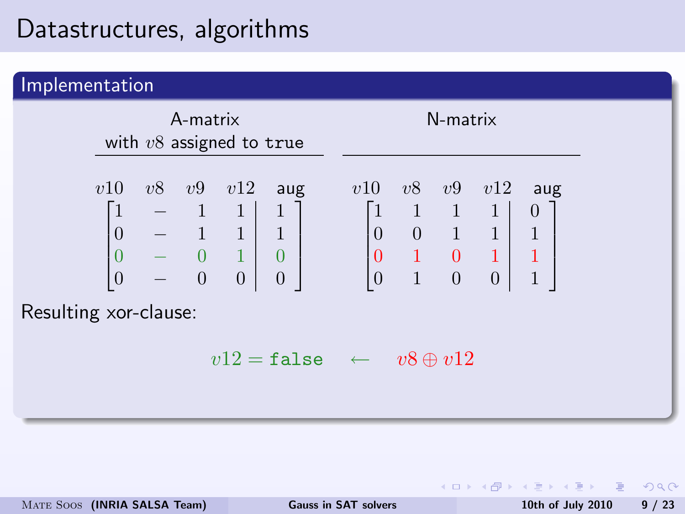| Implementation                                                                                                                                                                  |                                                                                                                                                                                                                                                              |  |
|---------------------------------------------------------------------------------------------------------------------------------------------------------------------------------|--------------------------------------------------------------------------------------------------------------------------------------------------------------------------------------------------------------------------------------------------------------|--|
| A-matrix<br>with $v8$ assigned to true                                                                                                                                          | N-matrix                                                                                                                                                                                                                                                     |  |
| $v8 \quad v9 \quad v12$<br>v10<br>aug<br>$\begin{bmatrix} 1 & - & 1 & 1 & 1 \ 0 & - & 1 & 1 & 1 \ 0 & - & 0 & 1 & 0 \ 0 & - & 0 & 0 & 0 \end{bmatrix}$<br>Resulting xor-clause: | v8<br>v10<br>v9<br>v12<br>aug<br>$\begin{bmatrix} 1 & 1 & 1 & 1 \\ 0 & 0 & 1 & 1 \\ 0 & 1 & 0 & 1 \\ 0 & 1 & 0 & 0 \end{bmatrix}$<br>$\theta$<br>$\overline{1}$<br>$\begin{pmatrix} 1 \\ 1 \end{pmatrix}$<br>$v12 = \texttt{false} \leftarrow v8 \oplus v12$ |  |

∴ œ

<span id="page-11-0"></span> $2990$ 

 $($  ロ )  $($   $\oplus$   $)$   $($   $\oplus$   $)$   $($   $\oplus$   $)$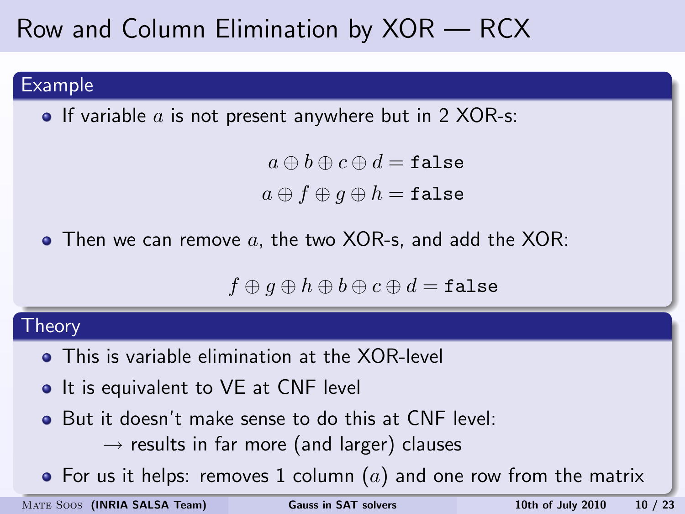### Row and Column Elimination by XOR — RCX

#### Example

**•** If variable  $a$  is not present anywhere but in 2 XOR-s:

 $a \oplus b \oplus c \oplus d = \mathtt{false}$  $a \oplus f \oplus q \oplus h = \mathtt{false}$ 

 $\bullet$  Then we can remove a, the two XOR-s, and add the XOR:

<span id="page-12-0"></span> $f \oplus g \oplus h \oplus b \oplus c \oplus d = \texttt{false}$ 

#### Theory

- **•** This is variable elimination at the XOR-level
- It is equivalent to VE at CNF level
- **But it doesn't make sense to do this at CNF level:** 
	- $\rightarrow$  results in far more (and larger) clauses
- F[o](#page-11-0)r us it helps: re[m](#page-18-0)ov[e](#page-7-0)s1 column  $(a)$  $(a)$  $(a)$  and [on](#page-11-0)[e r](#page-13-0)o[w](#page-12-0) [f](#page-13-0)[ro](#page-11-0)m [t](#page-13-0)[h](#page-6-0)e ma[trix](#page-25-0)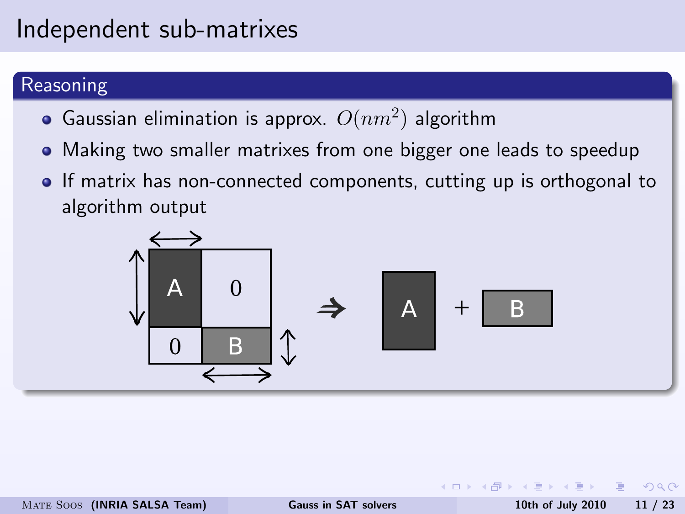### Independent sub-matrixes

#### Reasoning

- Gaussian elimination is approx.  $O(nm^2)$  algorithm
- Making two smaller matrixes from one bigger one leads to speedup
- If matrix has non-connected components, cutting up is orthogonal to algorithm output



<span id="page-13-0"></span>つくい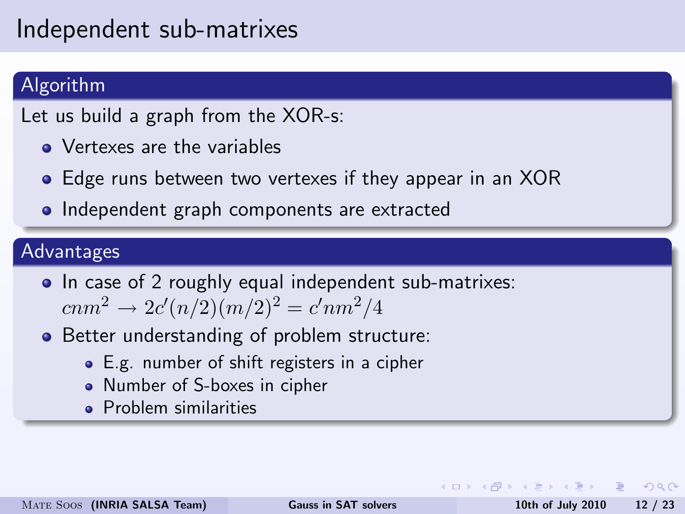### Independent sub-matrixes

#### Algorithm

Let us build a graph from the XOR-s:

- Vertexes are the variables
- Edge runs between two vertexes if they appear in an XOR
- Independent graph components are extracted

#### Advantages

- In case of 2 roughly equal independent sub-matrixes:  $cnm^2 \rightarrow 2c'(n/2)(m/2)^2 = c'nm^2/4$
- Better understanding of problem structure:
	- E.g. number of shift registers in a cipher
	- Number of S-boxes in cipher
	- **•** Problem similarities

 $\Omega$ 

イロト イ押 トイヨ トイヨ トーヨ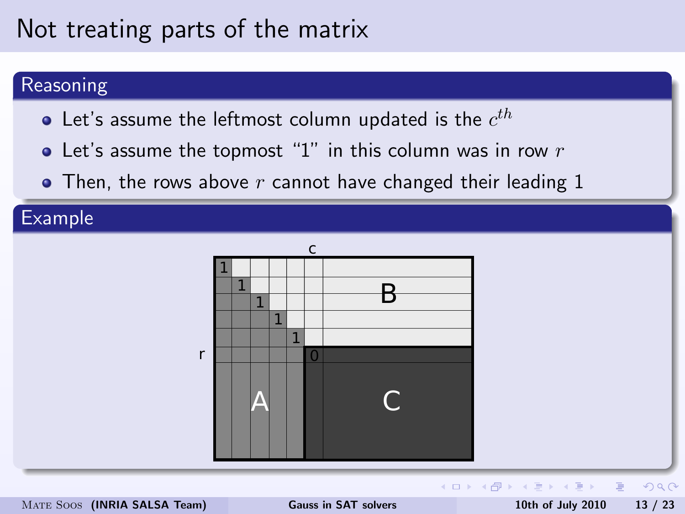### Not treating parts of the matrix

#### Reasoning

- Let's assume the leftmost column updated is the  $c^{th}$
- Let's assume the topmost "1" in this column was in row  $r$
- $\bullet$  Then, the rows above r cannot have changed their leading 1

#### Example



<span id="page-15-0"></span>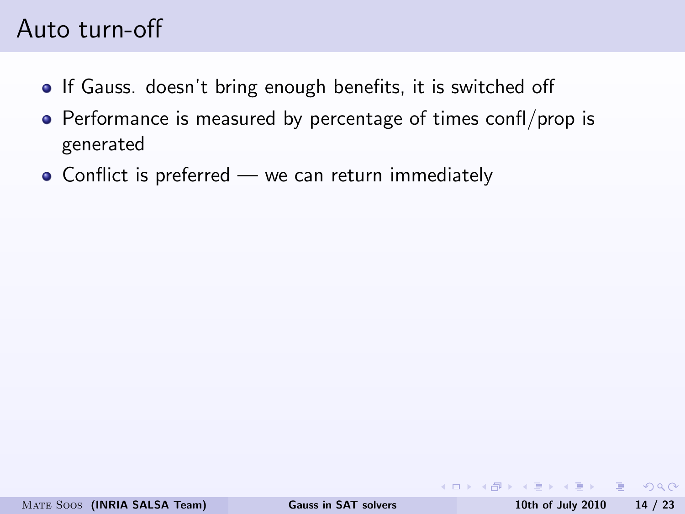### Auto turn-off

- **If Gauss. doesn't bring enough benefits, it is switched off**
- Performance is measured by percentage of times confl/prop is generated
- Conflict is preferred we can return immediately

KO → KA → KE → KE → E → AQA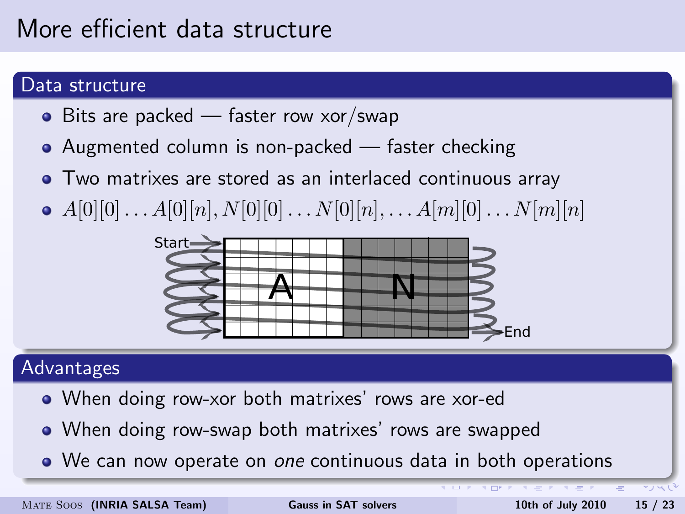### More efficient data structure

#### Data structure

- $\bullet$  Bits are packed faster row xor/swap
- Augmented column is non-packed faster checking
- Two matrixes are stored as an interlaced continuous array
- $A[0][0] \ldots A[0][n], N[0][0] \ldots N[0][n], \ldots A[m][0] \ldots N[m][n]$



#### Advantages

- When doing row-xor both matrixes' rows are xor-ed
- When doing row-swap both matrixes' rows are swapped
- We can now operate on one continuous data in both operations

<span id="page-17-0"></span>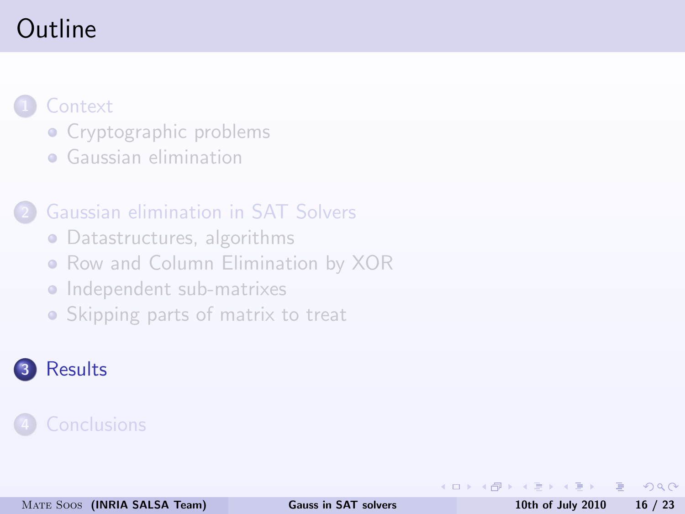### Outline

### **[Context](#page-2-0)**

- [Cryptographic problems](#page-4-0)
- **•** [Gaussian elimination](#page-5-0)

#### 2 [Gaussian elimination in SAT Solvers](#page-7-0)

- [Datastructures, algorithms](#page-8-0)
- [Row and Column Elimination by XOR](#page-12-0)
- [Independent sub-matrixes](#page-13-0)
- [Skipping parts of matrix to treat](#page-15-0)

### **[Results](#page-18-0)**

目

<span id="page-18-0"></span> $200$ 

∢ ロ ▶ ( 伊 ) ( ミ ) ( ミ )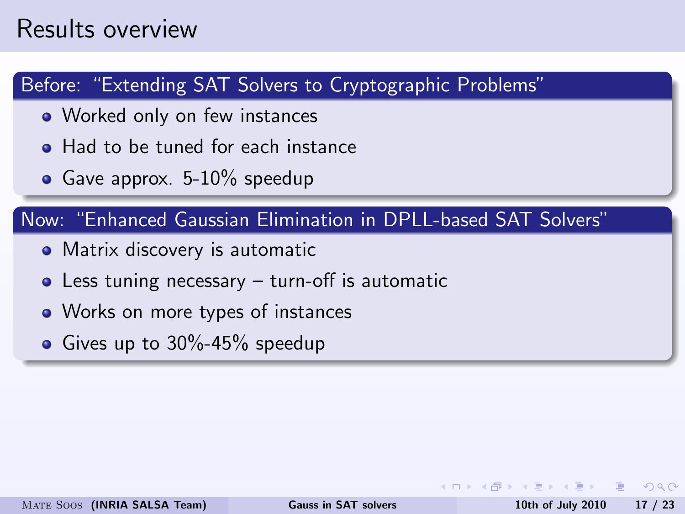### Results overview

#### Before: "Extending SAT Solvers to Cryptographic Problems"

- Worked only on few instances
- **Had to be tuned for each instance**
- Gave approx.  $5-10\%$  speedup

#### Now: "Enhanced Gaussian Elimination in DPLL-based SAT Solvers"

- Matrix discovery is automatic
- Less tuning necessary turn-off is automatic
- Works on more types of instances
- Gives up to  $30\% 45\%$  speedup

 $200$ 

 $\sqrt{m}$  )  $\sqrt{m}$  )  $\sqrt{m}$  )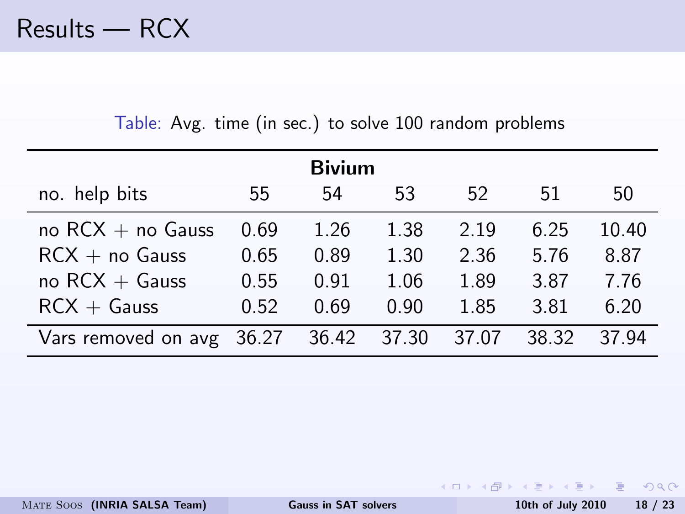| <b>Bivium</b>       |       |       |       |       |       |       |  |  |  |  |
|---------------------|-------|-------|-------|-------|-------|-------|--|--|--|--|
| no. help bits       | 55    | 54    | 53    | 52    | 51    | 50    |  |  |  |  |
| no $RCX + no$ Gauss | 0.69  | 1.26  | 1.38  | 2.19  | 6.25  | 10.40 |  |  |  |  |
| $RCX + no Gauss$    | 0.65  | 0.89  | 1.30  | 2.36  | 5.76  | 8.87  |  |  |  |  |
| no $RCX + Gauss$    | 0.55  | 0.91  | 1.06  | 1.89  | 3.87  | 7.76  |  |  |  |  |
| $RCX + Gauss$       | 0.52  | 0.69  | 0.90  | 1.85  | 3.81  | 6.20  |  |  |  |  |
| Vars removed on avg | 36.27 | 36.42 | 37.30 | 37.07 | 38.32 | 37 94 |  |  |  |  |

Table: Avg. time (in sec.) to solve 100 random problems

K ロ > K @ > K ミ > K ミ > → ミ → 9 Q @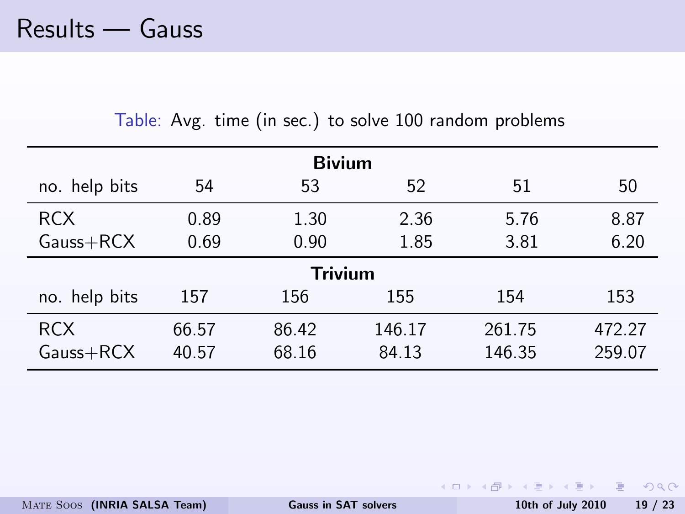|               |       | <b>Bivium</b>  |        |        |        |
|---------------|-------|----------------|--------|--------|--------|
| no. help bits | 54    | 53             | 52     | 51     | 50     |
| <b>RCX</b>    | 0.89  | 1.30           | 2.36   | 5.76   | 8.87   |
| $Gauss+RCX$   | 0.69  | 0.90           | 1.85   | 3.81   | 6.20   |
|               |       | <b>Trivium</b> |        |        |        |
| no. help bits | 157   | 156            | 155    | 154    | 153    |
| <b>RCX</b>    | 66.57 | 86.42          | 146.17 | 261.75 | 472.27 |
| Gauss+RCX     | 40.57 | 68.16          | 84.13  | 146.35 | 259.07 |

Table: Avg. time (in sec.) to solve 100 random problems

K ロ > K @ > K 할 > K 할 > → 할 → 9 Q Q\*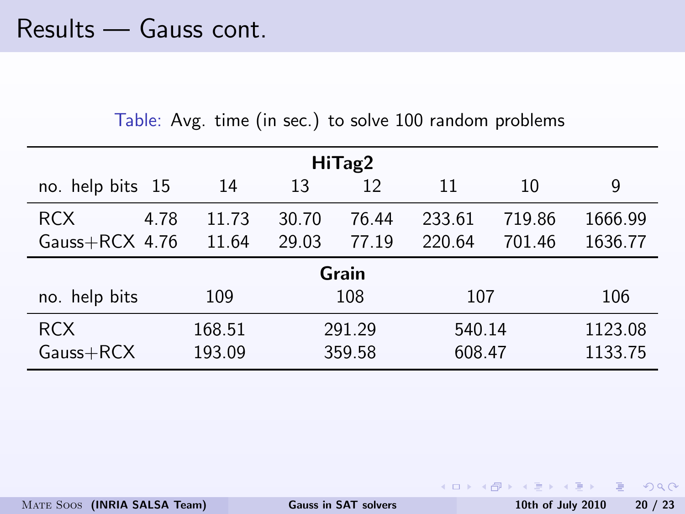| HiTag2             |        |       |        |        |        |         |  |  |  |  |
|--------------------|--------|-------|--------|--------|--------|---------|--|--|--|--|
| no. help bits 15   | 14     | 13    | 12     | 11     | 10     | 9       |  |  |  |  |
| <b>RCX</b><br>4.78 | 11.73  | 30.70 | 76.44  | 233.61 | 719.86 | 1666.99 |  |  |  |  |
| Gauss $+$ RCX 4.76 | 11.64  | 29.03 | 77.19  | 220.64 | 701.46 | 1636.77 |  |  |  |  |
| Grain              |        |       |        |        |        |         |  |  |  |  |
| no. help bits      | 109    |       | 108    | 107    |        | 106     |  |  |  |  |
| <b>RCX</b>         | 168.51 |       | 291.29 |        | 540.14 | 1123.08 |  |  |  |  |
| $Gauss+RCX$        | 193.09 |       | 359.58 | 608.47 |        | 1133.75 |  |  |  |  |

Table: Avg. time (in sec.) to solve 100 random problems

KED KAPD KIDD KIDD I DAG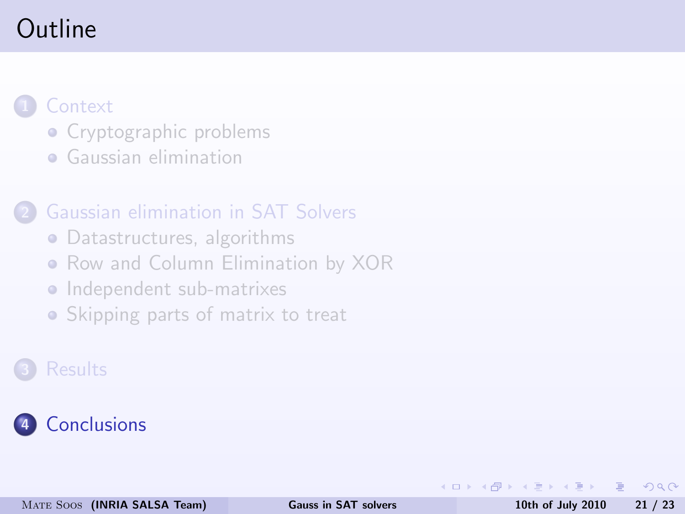### Outline

### **[Context](#page-2-0)**

- [Cryptographic problems](#page-4-0)
- **•** [Gaussian elimination](#page-5-0)

#### 2 [Gaussian elimination in SAT Solvers](#page-7-0)

- [Datastructures, algorithms](#page-8-0)
- [Row and Column Elimination by XOR](#page-12-0)
- [Independent sub-matrixes](#page-13-0)
- [Skipping parts of matrix to treat](#page-15-0)

### **[Results](#page-18-0)**

### **[Conclusions](#page-23-0)**

目

<span id="page-23-0"></span> $200$ 

∢ ロ ▶ ( 伊 ) ( ミ ) ( ミ )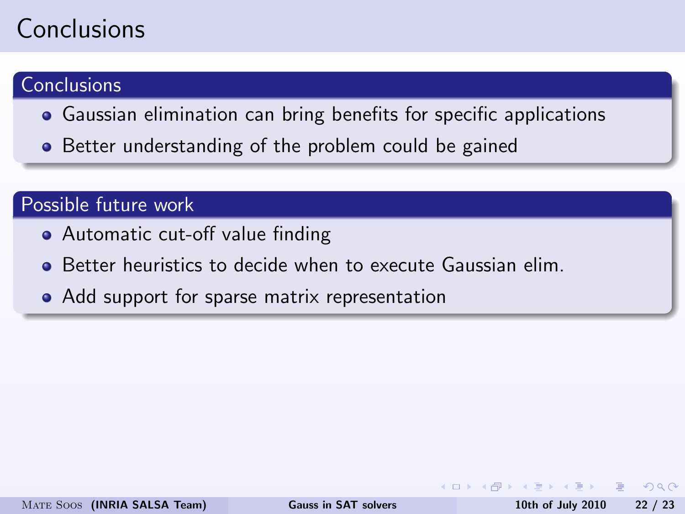### **Conclusions**

### **Conclusions**

- Gaussian elimination can bring benefits for specific applications
- Better understanding of the problem could be gained

#### Possible future work

- Automatic cut-off value finding
- Better heuristics to decide when to execute Gaussian elim.
- Add support for sparse matrix representation

 $\Omega$ 

 $\langle \bigcap \mathbb{P} \rangle$   $\rightarrow$   $\exists$   $\rightarrow$   $\langle \bigcap \mathbb{P} \rangle$